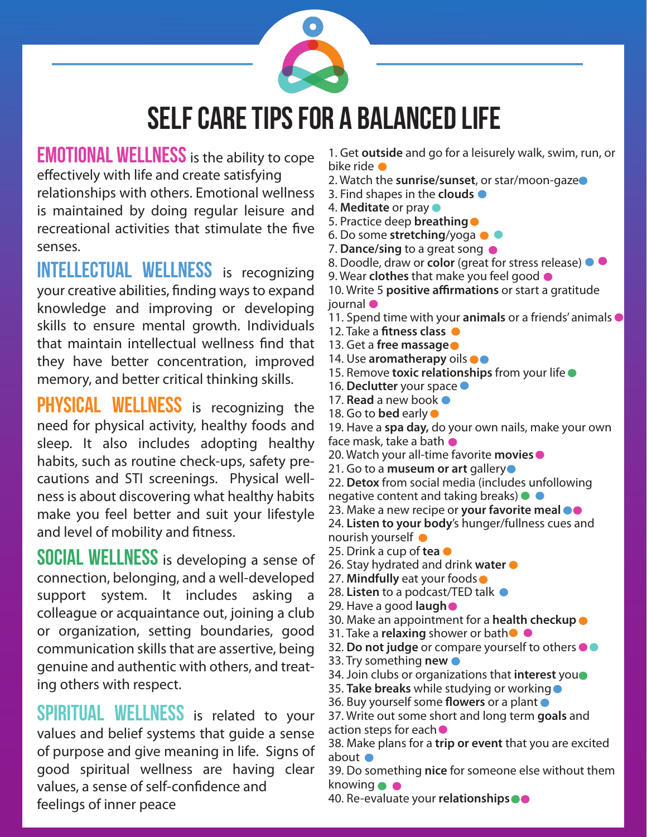

## self care tips for a balanced life

**EMOTIONAL WELLNESS** is the ability to cope effectively with life and create satisfying relationships with others. Emotional wellness is maintained by doing regular leisure and recreational activities that stimulate the five senses.

**INTELLECTUAL WELLNESS** is recognizing your creative abilities, finding ways to expand knowledge and improving or developing skills to ensure mental growth. Individuals that maintain intellectual wellness find that they have better concentration, improved memory, and better critical thinking skills.

PHYSICAL WELLNESS is recognizing the need for physical activity, healthy foods and sleep. It also includes adopting healthy habits, such as routine check-ups, safety precautions and STI screenings. Physical wellness is about discovering what healthy habits make you feel better and suit your lifestyle and level of mobility and fitness.

SOCIAL WELLNESS is developing a sense of connection, belonging, and a well-developed support system. It includes asking a colleague or acquaintance out, joining a club or organization, setting boundaries, good communication skills that are assertive, being genuine and authentic with others, and treating others with respect.

SPIRITUAL WELLNESS is related to your values and belief systems that guide a sense of purpose and give meaning in life. Signs of good spiritual wellness are having clear values, a sense of self-confidence and feelings of inner peace

1. Get **outside** and go for a leisurely walk, swim, run, or bike ride

- 2. Watch the **sunrise/sunset**, or star/moon-gaze
- 3. Find shapes in the **clouds**
- 4. **Meditate** or pray
- 5. Practice deep **breathing**
- 6. Do some **stretching**/yoga
- 7. **Dance/sing** to a great song
- 8. Doodle, draw or **color** (great for stress release)  $\bullet$
- 9. Wear **clothes** that make you feel good

10. Write 5 **positive affirmations** or start a gratitude journal

- 11. Spend time with your **animals** or a friends' animals  $\bullet$
- 12. Take a **fitness class**  $\bullet$
- 13. Get a **free massage**
- 14. Use **aromatherapy** oils
- 15. Remove **toxic relationships** from your life
- 16. **Declutter** your space  $\bullet$
- 17. **Read** a new book
- 18. Go to **bed** early  $\bullet$

19. Have a **spa day,** do your own nails, make your own face mask, take a bath  $\bullet$ 

- 20. Watch your all-time favorite **movies**
- 21. Go to a **museum or art** gallery

22. **Detox** from social media (includes unfollowing negative content and taking breaks)  $\bullet$ 

- 23. Make a new recipe or **your favorite meal** 24. **Listen to your body**'s hunger/fullness cues and
- nourish yourself
- 25. Drink a cup of **tea**
- 26. Stay hydrated and drink **water**
- 27. **Mindfully** eat your foods
- 28. **Listen** to a podcast/TED talk
- 29. Have a good **laugh**
- 30. Make an appointment for a **health checkup**
- 31. Take a **relaxing** shower or bath
- 32. **Do not judge** or compare yourself to others
- 33. Try something **new**
- 34. Join clubs or organizations that **interest** you
- 35. **Take breaks** while studying or working
- 36. Buy yourself some **flowers** or a plant  $\bullet$

37. Write out some short and long term **goals** and action steps for each  $\bullet$ 

38. Make plans for a **trip or event** that you are excited about  $\bullet$ 

39. Do something **nice** for someone else without them knowing  $\bullet$ 

40. Re-evaluate your **relationships**